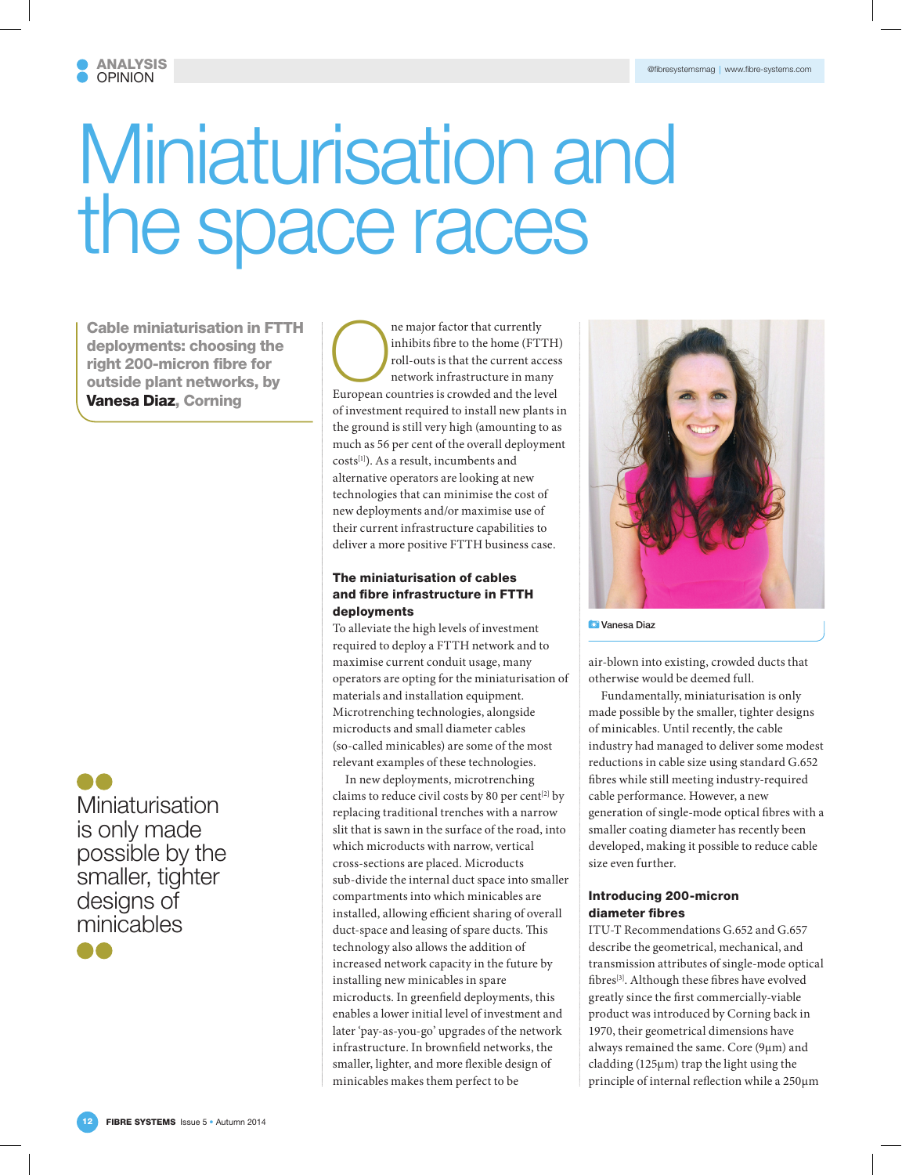# Miniaturisation and the space races

Cable miniaturisation in FTTH deployments: choosing the right 200-micron fibre for outside plant networks, by Vanesa Diaz, Corning

Miniaturisation is only made possible by the smaller, tighter designs of minicables 88

The major factor that currently<br>inhibits fibre to the home (FT.<br>roll-outs is that the current according to the set of the current according to the set of the set of the set of the set of the set of the set of the set of th inhibits fibre to the home (FTTH) roll-outs is that the current access network infrastructure in many European countries is crowded and the level of investment required to install new plants in the ground is still very high (amounting to as much as 56 per cent of the overall deployment costs[1]). As a result, incumbents and alternative operators are looking at new technologies that can minimise the cost of new deployments and/or maximise use of their current infrastructure capabilities to deliver a more positive FTTH business case.

# The miniaturisation of cables and fibre infrastructure in FTTH deployments

To alleviate the high levels of investment required to deploy a FTTH network and to maximise current conduit usage, many operators are opting for the miniaturisation of materials and installation equipment. Microtrenching technologies, alongside microducts and small diameter cables (so-called minicables) are some of the most relevant examples of these technologies.

In new deployments, microtrenching claims to reduce civil costs by 80 per cent<sup>[2]</sup> by replacing traditional trenches with a narrow slit that is sawn in the surface of the road, into which microducts with narrow, vertical cross-sections are placed. Microducts sub-divide the internal duct space into smaller compartments into which minicables are installed, allowing efficient sharing of overall duct-space and leasing of spare ducts. This technology also allows the addition of increased network capacity in the future by installing new minicables in spare microducts. In greenfield deployments, this enables a lower initial level of investment and later 'pay-as-you-go' upgrades of the network infrastructure. In brownfield networks, the smaller, lighter, and more flexible design of minicables makes them perfect to be



**D** Vanesa Diaz

air-blown into existing, crowded ducts that otherwise would be deemed full.

Fundamentally, miniaturisation is only made possible by the smaller, tighter designs of minicables. Until recently, the cable industry had managed to deliver some modest reductions in cable size using standard G.652 fibres while still meeting industry-required cable performance. However, a new generation of single-mode optical fibres with a smaller coating diameter has recently been developed, making it possible to reduce cable size even further.

## Introducing 200-micron diameter fibres

ITU-T Recommendations G.652 and G.657 describe the geometrical, mechanical, and transmission attributes of single-mode optical fibres[3]. Although these fibres have evolved greatly since the first commercially-viable product was introduced by Corning back in 1970, their geometrical dimensions have always remained the same. Core (9µm) and cladding (125µm) trap the light using the principle of internal reflection while a 250µm